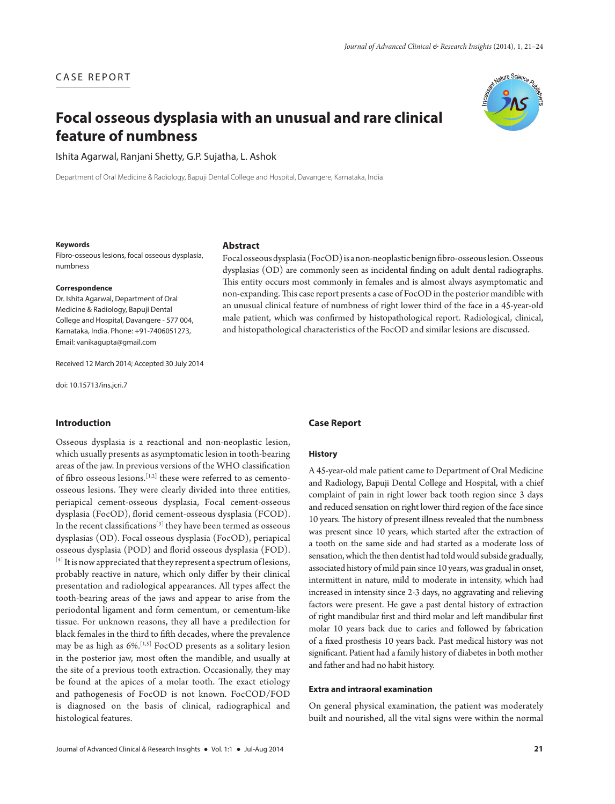# CASE REPORT

# **Focal osseous dysplasia with an unusual and rare clinical feature of numbness**



Ishita Agarwal, Ranjani Shetty, G.P. Sujatha, L. Ashok

Department of Oral Medicine & Radiology, Bapuji Dental College and Hospital, Davangere, Karnataka, India

#### **Keywords**

Fibro-osseous lesions, focal osseous dysplasia, numbness

#### **Correspondence**

Dr. Ishita Agarwal, Department of Oral Medicine & Radiology, Bapuji Dental College and Hospital, Davangere - 577 004, Karnataka, India. Phone: +91-7406051273, Email: vanikagupta@gmail.com

Received 12 March 2014; Accepted 30 July 2014

doi: 10.15713/ins.jcri.7

## **Introduction**

Osseous dysplasia is a reactional and non-neoplastic lesion, which usually presents as asymptomatic lesion in tooth-bearing areas of the jaw. In previous versions of the WHO classification of fibro osseous lesions.[1,2] these were referred to as cementoosseous lesions. They were clearly divided into three entities, periapical cement-osseous dysplasia, Focal cement-osseous dysplasia (FocOD), florid cement-osseous dysplasia (FCOD). In the recent classifications[3] they have been termed as osseous dysplasias (OD). Focal osseous dysplasia (FocOD), periapical osseous dysplasia (POD) and florid osseous dysplasia (FOD). [4] It is now appreciated that they represent a spectrum of lesions, probably reactive in nature, which only differ by their clinical presentation and radiological appearances. All types affect the tooth-bearing areas of the jaws and appear to arise from the periodontal ligament and form cementum, or cementum-like tissue. For unknown reasons, they all have a predilection for black females in the third to fifth decades, where the prevalence may be as high as  $6\%$ .<sup>[1,5]</sup> FocOD presents as a solitary lesion in the posterior jaw, most often the mandible, and usually at the site of a previous tooth extraction. Occasionally, they may be found at the apices of a molar tooth. The exact etiology and pathogenesis of FocOD is not known. FocCOD/FOD is diagnosed on the basis of clinical, radiographical and histological features.

# **Abstract**

Focal osseous dysplasia (FocOD) is a non-neoplastic benign fibro-osseous lesion. Osseous dysplasias (OD) are commonly seen as incidental finding on adult dental radiographs. This entity occurs most commonly in females and is almost always asymptomatic and non-expanding. This case report presents a case of FocOD in the posterior mandible with an unusual clinical feature of numbness of right lower third of the face in a 45-year-old male patient, which was confirmed by histopathological report. Radiological, clinical, and histopathological characteristics of the FocOD and similar lesions are discussed.

#### **Case Report**

### **History**

A 45-year-old male patient came to Department of Oral Medicine and Radiology, Bapuji Dental College and Hospital, with a chief complaint of pain in right lower back tooth region since 3 days and reduced sensation on right lower third region of the face since 10 years. The history of present illness revealed that the numbness was present since 10 years, which started after the extraction of a tooth on the same side and had started as a moderate loss of sensation, which the then dentist had told would subside gradually, associated history of mild pain since 10 years, was gradual in onset, intermittent in nature, mild to moderate in intensity, which had increased in intensity since 2-3 days, no aggravating and relieving factors were present. He gave a past dental history of extraction of right mandibular first and third molar and left mandibular first molar 10 years back due to caries and followed by fabrication of a fixed prosthesis 10 years back. Past medical history was not significant. Patient had a family history of diabetes in both mother and father and had no habit history.

## **Extra and intraoral examination**

On general physical examination, the patient was moderately built and nourished, all the vital signs were within the normal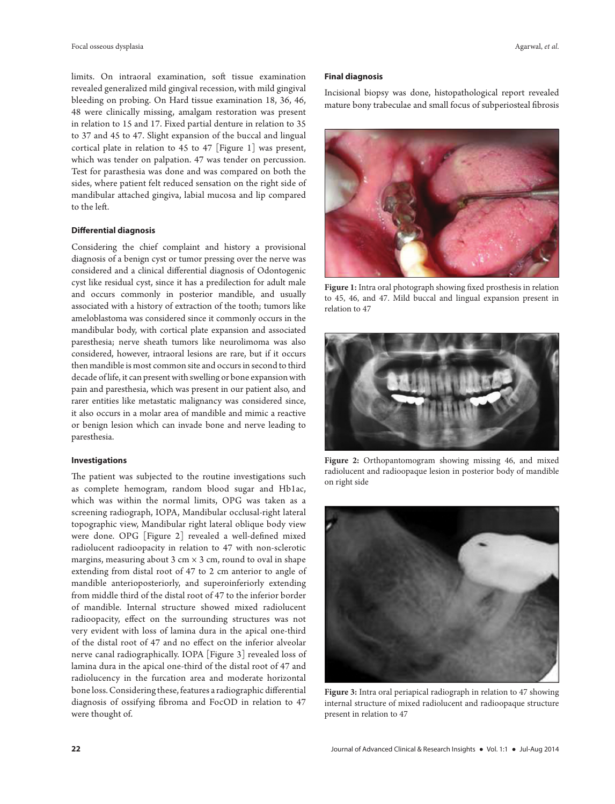limits. On intraoral examination, soft tissue examination revealed generalized mild gingival recession, with mild gingival bleeding on probing. On Hard tissue examination 18, 36, 46, 48 were clinically missing, amalgam restoration was present in relation to 15 and 17. Fixed partial denture in relation to 35 to 37 and 45 to 47. Slight expansion of the buccal and lingual cortical plate in relation to 45 to 47 [Figure 1] was present, which was tender on palpation. 47 was tender on percussion. Test for parasthesia was done and was compared on both the sides, where patient felt reduced sensation on the right side of mandibular attached gingiva, labial mucosa and lip compared to the left.

## **Differential diagnosis**

Considering the chief complaint and history a provisional diagnosis of a benign cyst or tumor pressing over the nerve was considered and a clinical differential diagnosis of Odontogenic cyst like residual cyst, since it has a predilection for adult male and occurs commonly in posterior mandible, and usually associated with a history of extraction of the tooth; tumors like ameloblastoma was considered since it commonly occurs in the mandibular body, with cortical plate expansion and associated paresthesia; nerve sheath tumors like neurolimoma was also considered, however, intraoral lesions are rare, but if it occurs then mandible is most common site and occurs in second to third decade of life, it can present with swelling or bone expansion with pain and paresthesia, which was present in our patient also, and rarer entities like metastatic malignancy was considered since, it also occurs in a molar area of mandible and mimic a reactive or benign lesion which can invade bone and nerve leading to paresthesia.

#### **Investigations**

The patient was subjected to the routine investigations such as complete hemogram, random blood sugar and Hb1ac, which was within the normal limits, OPG was taken as a screening radiograph, IOPA, Mandibular occlusal-right lateral topographic view, Mandibular right lateral oblique body view were done. OPG [Figure 2] revealed a well-defined mixed radiolucent radioopacity in relation to 47 with non-sclerotic margins, measuring about  $3 \text{ cm} \times 3 \text{ cm}$ , round to oval in shape extending from distal root of 47 to 2 cm anterior to angle of mandible anterioposteriorly, and superoinferiorly extending from middle third of the distal root of 47 to the inferior border of mandible. Internal structure showed mixed radiolucent radioopacity, effect on the surrounding structures was not very evident with loss of lamina dura in the apical one-third of the distal root of 47 and no effect on the inferior alveolar nerve canal radiographically. IOPA [Figure 3] revealed loss of lamina dura in the apical one-third of the distal root of 47 and radiolucency in the furcation area and moderate horizontal bone loss. Considering these, features a radiographic differential diagnosis of ossifying fibroma and FocOD in relation to 47 were thought of.

#### **Final diagnosis**

Incisional biopsy was done, histopathological report revealed mature bony trabeculae and small focus of subperiosteal fibrosis



**Figure 1:** Intra oral photograph showing fixed prosthesis in relation to 45, 46, and 47. Mild buccal and lingual expansion present in relation to 47



**Figure 2:** Orthopantomogram showing missing 46, and mixed radiolucent and radioopaque lesion in posterior body of mandible on right side



**Figure 3:** Intra oral periapical radiograph in relation to 47 showing internal structure of mixed radiolucent and radioopaque structure present in relation to 47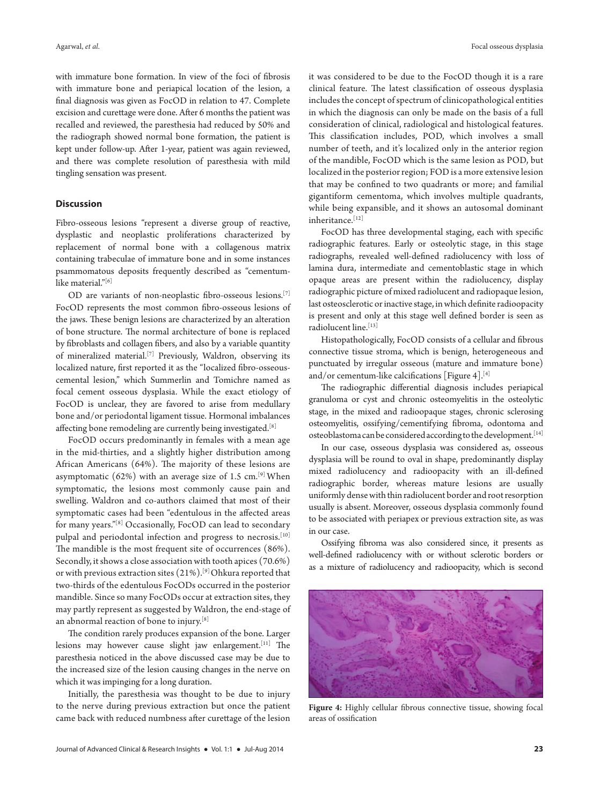with immature bone formation. In view of the foci of fibrosis with immature bone and periapical location of the lesion, a final diagnosis was given as FocOD in relation to 47. Complete excision and curettage were done. After 6 months the patient was recalled and reviewed, the paresthesia had reduced by 50% and the radiograph showed normal bone formation, the patient is kept under follow-up. After 1-year, patient was again reviewed, and there was complete resolution of paresthesia with mild tingling sensation was present.

## **Discussion**

Fibro-osseous lesions "represent a diverse group of reactive, dysplastic and neoplastic proliferations characterized by replacement of normal bone with a collagenous matrix containing trabeculae of immature bone and in some instances psammomatous deposits frequently described as "cementumlike material."[6]

OD are variants of non-neoplastic fibro-osseous lesions.<sup>[7]</sup> FocOD represents the most common fibro-osseous lesions of the jaws. These benign lesions are characterized by an alteration of bone structure. The normal architecture of bone is replaced by fibroblasts and collagen fibers, and also by a variable quantity of mineralized material.<sup>[7]</sup> Previously, Waldron, observing its localized nature, first reported it as the "localized fibro-osseouscemental lesion," which Summerlin and Tomichre named as focal cement osseous dysplasia. While the exact etiology of FocOD is unclear, they are favored to arise from medullary bone and/or periodontal ligament tissue. Hormonal imbalances affecting bone remodeling are currently being investigated.<sup>[8]</sup>

FocOD occurs predominantly in females with a mean age in the mid-thirties, and a slightly higher distribution among African Americans (64%). The majority of these lesions are asymptomatic  $(62%)$  with an average size of 1.5 cm.<sup>[9]</sup> When symptomatic, the lesions most commonly cause pain and swelling. Waldron and co-authors claimed that most of their symptomatic cases had been "edentulous in the affected areas for many years."[8] Occasionally, FocOD can lead to secondary pulpal and periodontal infection and progress to necrosis.<sup>[10]</sup> The mandible is the most frequent site of occurrences (86%). Secondly, it shows a close association with tooth apices (70.6%) or with previous extraction sites (21%).[9] Ohkura reported that two-thirds of the edentulous FocODs occurred in the posterior mandible. Since so many FocODs occur at extraction sites, they may partly represent as suggested by Waldron, the end-stage of an abnormal reaction of bone to injury.[8]

The condition rarely produces expansion of the bone. Larger lesions may however cause slight jaw enlargement.<sup>[11]</sup> The paresthesia noticed in the above discussed case may be due to the increased size of the lesion causing changes in the nerve on which it was impinging for a long duration.

Initially, the paresthesia was thought to be due to injury to the nerve during previous extraction but once the patient came back with reduced numbness after curettage of the lesion it was considered to be due to the FocOD though it is a rare clinical feature. The latest classification of osseous dysplasia includes the concept of spectrum of clinicopathological entities in which the diagnosis can only be made on the basis of a full consideration of clinical, radiological and histological features. This classification includes, POD, which involves a small number of teeth, and it's localized only in the anterior region of the mandible, FocOD which is the same lesion as POD, but localized in the posterior region; FOD is a more extensive lesion that may be confined to two quadrants or more; and familial gigantiform cementoma, which involves multiple quadrants, while being expansible, and it shows an autosomal dominant inheritance.[12]

FocOD has three developmental staging, each with specific radiographic features. Early or osteolytic stage, in this stage radiographs, revealed well-defined radiolucency with loss of lamina dura, intermediate and cementoblastic stage in which opaque areas are present within the radiolucency, display radiographic picture of mixed radiolucent and radiopaque lesion, last osteosclerotic or inactive stage, in which definite radioopacity is present and only at this stage well defined border is seen as radiolucent line.[13]

Histopathologically, FocOD consists of a cellular and fibrous connective tissue stroma, which is benign, heterogeneous and punctuated by irregular osseous (mature and immature bone) and/or cementum-like calcifications [Figure 4].<sup>[4]</sup>

The radiographic differential diagnosis includes periapical granuloma or cyst and chronic osteomyelitis in the osteolytic stage, in the mixed and radioopaque stages, chronic sclerosing osteomyelitis, ossifying/cementifying fibroma, odontoma and osteoblastoma can be considered according to the development.[14]

In our case, osseous dysplasia was considered as, osseous dysplasia will be round to oval in shape, predominantly display mixed radiolucency and radioopacity with an ill-defined radiographic border, whereas mature lesions are usually uniformly dense with thin radiolucent border and root resorption usually is absent. Moreover, osseous dysplasia commonly found to be associated with periapex or previous extraction site, as was in our case.

Ossifying fibroma was also considered since, it presents as well-defined radiolucency with or without sclerotic borders or as a mixture of radiolucency and radioopacity, which is second



**Figure 4:** Highly cellular fibrous connective tissue, showing focal areas of ossification